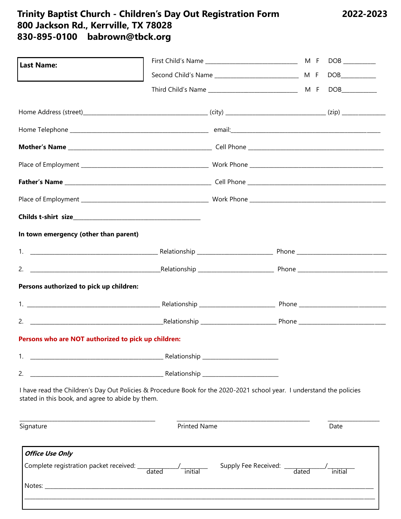# Trinity Baptist Church - Children's Day Out Registration Form<br>800 Jackson Rd., Kerrville, TX 78028<br>830-895-0100 babrown@tbck.org

| <b>Last Name:</b>                                   |                                                                                                                       |      |
|-----------------------------------------------------|-----------------------------------------------------------------------------------------------------------------------|------|
|                                                     |                                                                                                                       |      |
|                                                     |                                                                                                                       |      |
|                                                     |                                                                                                                       |      |
|                                                     |                                                                                                                       |      |
|                                                     |                                                                                                                       |      |
|                                                     |                                                                                                                       |      |
|                                                     |                                                                                                                       |      |
|                                                     |                                                                                                                       |      |
|                                                     |                                                                                                                       |      |
| In town emergency (other than parent)               |                                                                                                                       |      |
|                                                     |                                                                                                                       |      |
|                                                     |                                                                                                                       |      |
| Persons authorized to pick up children:             |                                                                                                                       |      |
|                                                     |                                                                                                                       |      |
|                                                     |                                                                                                                       |      |
| Persons who are NOT authorized to pick up children: |                                                                                                                       |      |
| 1.                                                  |                                                                                                                       |      |
| 2.                                                  |                                                                                                                       |      |
| stated in this book, and agree to abide by them.    | I have read the Children's Day Out Policies & Procedure Book for the 2020-2021 school year. I understand the policies |      |
| Signature                                           | <b>Printed Name</b>                                                                                                   | Date |
| <b>Office Use Only</b>                              |                                                                                                                       |      |
|                                                     |                                                                                                                       |      |
| Notes:                                              |                                                                                                                       |      |

2022-2023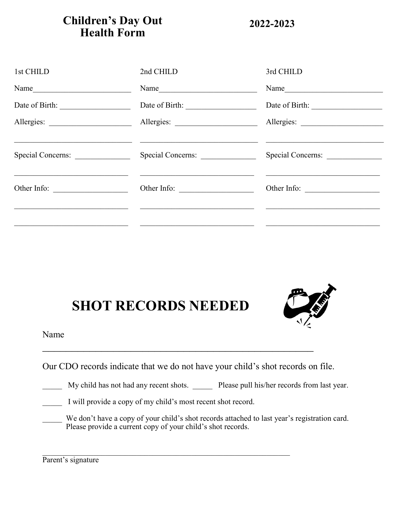# **Children's Day Out Health Form**

**2022-2023**

| 1st CHILD         | 2nd CHILD         | 3rd CHILD         |
|-------------------|-------------------|-------------------|
|                   | Name              | Name              |
| Date of Birth:    |                   |                   |
|                   |                   |                   |
| Special Concerns: | Special Concerns: | Special Concerns: |
| Other Info:       | Other Info:       | Other Info:       |
|                   |                   |                   |

# **SHOT RECORDS NEEDED**



Name

Our CDO records indicate that we do not have your child's shot records on file.

|  | My child has not had any recent shots. |  | Please pull his/her records from last year. |  |
|--|----------------------------------------|--|---------------------------------------------|--|
|  |                                        |  |                                             |  |

|  |  |  |  | I will provide a copy of my child's most recent shot record. |
|--|--|--|--|--------------------------------------------------------------|
|--|--|--|--|--------------------------------------------------------------|

We don't have a copy of your child's shot records attached to last year's registration card. Please provide a current copy of your child's shot records.

Parent's signature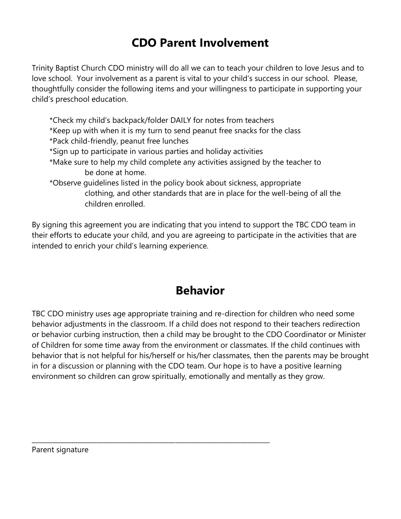# **CDO Parent Involvement**

Trinity Baptist Church CDO ministry will do all we can to teach your children to love Jesus and to love school. Your involvement as a parent is vital to your child's success in our school. Please, thoughtfully consider the following items and your willingness to participate in supporting your child's preschool education.

\*Check my child's backpack/folder DAILY for notes from teachers

- \*Keep up with when it is my turn to send peanut free snacks for the class
- \*Pack child-friendly, peanut free lunches
- \*Sign up to participate in various parties and holiday activities

\_\_\_\_\_\_\_\_\_\_\_\_\_\_\_\_\_\_\_\_\_\_\_\_\_\_\_\_\_\_\_\_\_\_\_\_\_\_\_\_\_\_\_\_\_\_\_\_\_\_\_\_\_\_\_\_\_\_\_\_\_\_\_\_\_\_\_\_\_\_\_\_\_

- \*Make sure to help my child complete any activities assigned by the teacher to be done at home.
- \*Observe guidelines listed in the policy book about sickness, appropriate clothing, and other standards that are in place for the well-being of all the children enrolled.

By signing this agreement you are indicating that you intend to support the TBC CDO team in their efforts to educate your child, and you are agreeing to participate in the activities that are intended to enrich your child's learning experience.

# **Behavior**

TBC CDO ministry uses age appropriate training and re-direction for children who need some behavior adjustments in the classroom. If a child does not respond to their teachers redirection or behavior curbing instruction, then a child may be brought to the CDO Coordinator or Minister of Children for some time away from the environment or classmates. If the child continues with behavior that is not helpful for his/herself or his/her classmates, then the parents may be brought in for a discussion or planning with the CDO team. Our hope is to have a positive learning environment so children can grow spiritually, emotionally and mentally as they grow.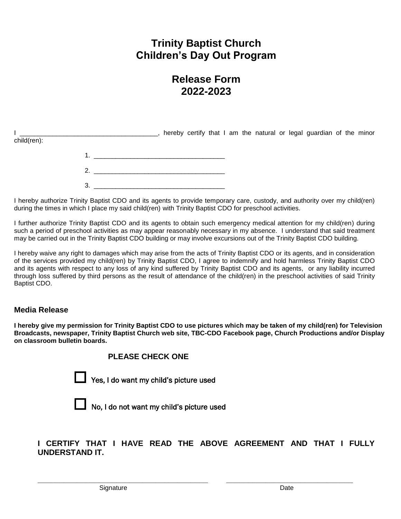## **Trinity Baptist Church Children's Day Out Program**

### **Release Form 2022-2023**

|             |  |  |  |  |  | hereby certify that I am the natural or legal guardian of the minor |  |  |
|-------------|--|--|--|--|--|---------------------------------------------------------------------|--|--|
| child(ren): |  |  |  |  |  |                                                                     |  |  |
|             |  |  |  |  |  |                                                                     |  |  |
|             |  |  |  |  |  |                                                                     |  |  |
|             |  |  |  |  |  |                                                                     |  |  |

I hereby authorize Trinity Baptist CDO and its agents to provide temporary care, custody, and authority over my child(ren) during the times in which I place my said child(ren) with Trinity Baptist CDO for preschool activities.

I further authorize Trinity Baptist CDO and its agents to obtain such emergency medical attention for my child(ren) during such a period of preschool activities as may appear reasonably necessary in my absence. I understand that said treatment may be carried out in the Trinity Baptist CDO building or may involve excursions out of the Trinity Baptist CDO building.

I hereby waive any right to damages which may arise from the acts of Trinity Baptist CDO or its agents, and in consideration of the services provided my child(ren) by Trinity Baptist CDO, I agree to indemnify and hold harmless Trinity Baptist CDO and its agents with respect to any loss of any kind suffered by Trinity Baptist CDO and its agents, or any liability incurred through loss suffered by third persons as the result of attendance of the child(ren) in the preschool activities of said Trinity Baptist CDO.

#### **Media Release**

**I hereby give my permission for Trinity Baptist CDO to use pictures which may be taken of my child(ren) for Television Broadcasts, newspaper, Trinity Baptist Church web site, TBC-CDO Facebook page, Church Productions and/or Display on classroom bulletin boards.**

 **PLEASE CHECK ONE**



Yes, I do want my child's picture used



No, I do not want my child's picture used

**I CERTIFY THAT I HAVE READ THE ABOVE AGREEMENT AND THAT I FULLY UNDERSTAND IT.**

**\_\_\_\_\_\_\_\_\_\_\_\_\_\_\_\_\_\_\_\_\_\_\_\_\_\_\_\_\_\_\_\_\_\_\_\_\_\_\_ \_\_\_\_\_\_\_\_\_\_\_\_\_\_\_\_\_\_\_\_\_\_\_\_\_\_\_\_\_**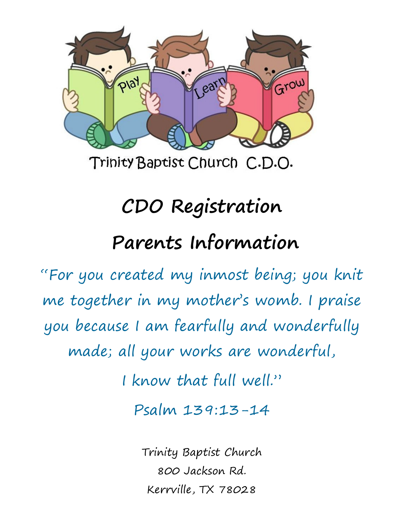

Trinity Baptist Church C.D.O.

# **CDO Registration Parents Information**

"For you created my inmost being; you knit me together in my mother's womb. I praise you because I am fearfully and wonderfully made; all your works are wonderful,

I know that full well."

Psalm 139:13-14

Trinity Baptist Church 800 Jackson Rd. Kerrville, TX 78028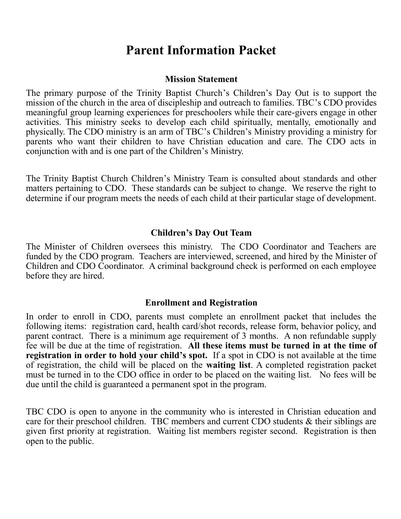# **Parent Information Packet**

#### **Mission Statement**

The primary purpose of the Trinity Baptist Church's Children's Day Out is to support the mission of the church in the area of discipleship and outreach to families. TBC's CDO provides meaningful group learning experiences for preschoolers while their care-givers engage in other activities. This ministry seeks to develop each child spiritually, mentally, emotionally and physically. The CDO ministry is an arm of TBC's Children's Ministry providing a ministry for parents who want their children to have Christian education and care. The CDO acts in conjunction with and is one part of the Children's Ministry.

The Trinity Baptist Church Children's Ministry Team is consulted about standards and other matters pertaining to CDO. These standards can be subject to change. We reserve the right to determine if our program meets the needs of each child at their particular stage of development.

#### **Children's Day Out Team**

The Minister of Children oversees this ministry. The CDO Coordinator and Teachers are funded by the CDO program. Teachers are interviewed, screened, and hired by the Minister of Children and CDO Coordinator. A criminal background check is performed on each employee before they are hired.

#### **Enrollment and Registration**

In order to enroll in CDO, parents must complete an enrollment packet that includes the following items: registration card, health card/shot records, release form, behavior policy, and parent contract. There is a minimum age requirement of 3 months. A non refundable supply fee will be due at the time of registration. **All these items must be turned in at the time of registration in order to hold your child's spot.** If a spot in CDO is not available at the time of registration, the child will be placed on the **waiting list**. A completed registration packet must be turned in to the CDO office in order to be placed on the waiting list. No fees will be due until the child is guaranteed a permanent spot in the program.

TBC CDO is open to anyone in the community who is interested in Christian education and care for their preschool children. TBC members and current CDO students & their siblings are given first priority at registration. Waiting list members register second. Registration is then open to the public.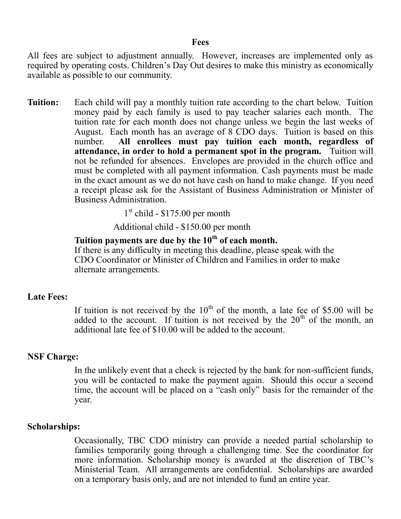#### **Fees**

All fees are subject to adjustment annually. However, increases are implemented only as required by operating costs. Children's Day Out desires to make this ministry as economically available as possible to our community.

**Tuition:** Each child will pay a monthly tuition rate according to the chart below. Tuition money paid by each family is used to pay teacher salaries each month. The tuition rate for each month does not change unless we begin the last weeks of August. Each month has an average of 8 CDO days. Tuition is based on this number. **All enrollees must pay tuition each month, regardless of attendance, in order to hold a permanent spot in the program.** Tuition will not be refunded for absences. Envelopes are provided in the church office and must be completed with all payment information. Cash payments must be made in the exact amount as we do not have cash on hand to make change. If you need a receipt please ask for the Assistant of Business Administration or Minister of Business Administration.

1 st child - \$175.00 per month

Additional child - \$150.00 per month

#### **Tuition payments are due by the 10th of each month.**

If there is any difficulty in meeting this deadline, please speak with the CDO Coordinator or Minister of Children and Families in order to make alternate arrangements.

#### **Late Fees:**

If tuition is not received by the  $10<sup>th</sup>$  of the month, a late fee of \$5.00 will be added to the account. If tuition is not received by the  $20<sup>th</sup>$  of the month, an additional late fee of \$10.00 will be added to the account.

#### **NSF Charge:**

In the unlikely event that a check is rejected by the bank for non-sufficient funds, you will be contacted to make the payment again. Should this occur a second time, the account will be placed on a "cash only" basis for the remainder of the year.

#### **Scholarships:**

Occasionally, TBC CDO ministry can provide a needed partial scholarship to families temporarily going through a challenging time. See the coordinator for more information. Scholarship money is awarded at the discretion of TBC's Ministerial Team. All arrangements are confidential. Scholarships are awarded on a temporary basis only, and are not intended to fund an entire year.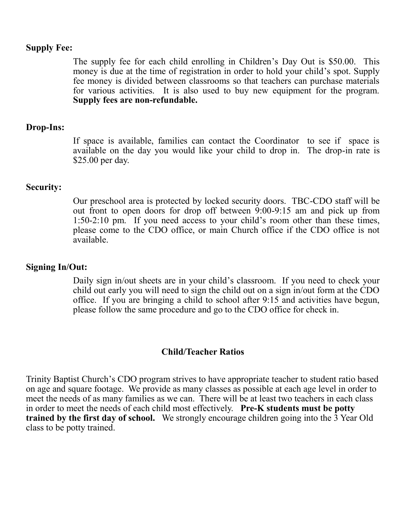#### **Supply Fee:**

The supply fee for each child enrolling in Children's Day Out is \$50.00. This money is due at the time of registration in order to hold your child's spot. Supply fee money is divided between classrooms so that teachers can purchase materials for various activities. It is also used to buy new equipment for the program. **Supply fees are non-refundable.**

#### **Drop-Ins:**

If space is available, families can contact the Coordinator to see if space is available on the day you would like your child to drop in. The drop-in rate is \$25.00 per day.

#### **Security:**

Our preschool area is protected by locked security doors. TBC-CDO staff will be out front to open doors for drop off between 9:00-9:15 am and pick up from 1:50-2:10 pm. If you need access to your child's room other than these times, please come to the CDO office, or main Church office if the CDO office is not available.

#### **Signing In/Out:**

Daily sign in/out sheets are in your child's classroom. If you need to check your child out early you will need to sign the child out on a sign in/out form at the CDO office. If you are bringing a child to school after 9:15 and activities have begun, please follow the same procedure and go to the CDO office for check in.

#### **Child/Teacher Ratios**

Trinity Baptist Church's CDO program strives to have appropriate teacher to student ratio based on age and square footage. We provide as many classes as possible at each age level in order to meet the needs of as many families as we can. There will be at least two teachers in each class in order to meet the needs of each child most effectively. **Pre-K students must be potty trained by the first day of school.** We strongly encourage children going into the 3 Year Old class to be potty trained.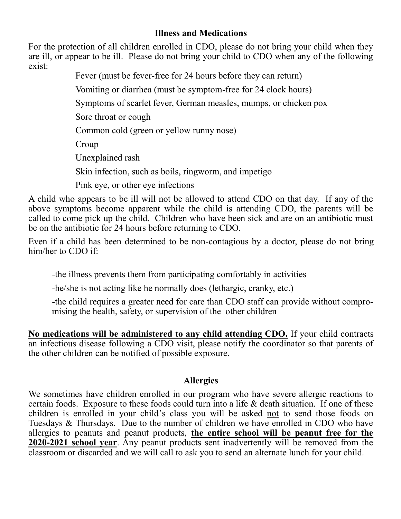#### **Illness and Medications**

For the protection of all children enrolled in CDO, please do not bring your child when they are ill, or appear to be ill. Please do not bring your child to CDO when any of the following exist:

Fever (must be fever-free for 24 hours before they can return)

Vomiting or diarrhea (must be symptom-free for 24 clock hours)

Symptoms of scarlet fever, German measles, mumps, or chicken pox

Sore throat or cough

Common cold (green or yellow runny nose)

Croup

Unexplained rash

Skin infection, such as boils, ringworm, and impetigo

Pink eye, or other eye infections

A child who appears to be ill will not be allowed to attend CDO on that day. If any of the above symptoms become apparent while the child is attending CDO, the parents will be called to come pick up the child. Children who have been sick and are on an antibiotic must be on the antibiotic for 24 hours before returning to CDO.

Even if a child has been determined to be non-contagious by a doctor, please do not bring him/her to CDO if:

-the illness prevents them from participating comfortably in activities

-he/she is not acting like he normally does (lethargic, cranky, etc.)

-the child requires a greater need for care than CDO staff can provide without compromising the health, safety, or supervision of the other children

**No medications will be administered to any child attending CDO.** If your child contracts an infectious disease following a CDO visit, please notify the coordinator so that parents of the other children can be notified of possible exposure.

#### **Allergies**

We sometimes have children enrolled in our program who have severe allergic reactions to certain foods. Exposure to these foods could turn into a life & death situation. If one of these children is enrolled in your child's class you will be asked not to send those foods on Tuesdays & Thursdays. Due to the number of children we have enrolled in CDO who have allergies to peanuts and peanut products, **the entire school will be peanut free for the 2020-2021 school year**. Any peanut products sent inadvertently will be removed from the classroom or discarded and we will call to ask you to send an alternate lunch for your child.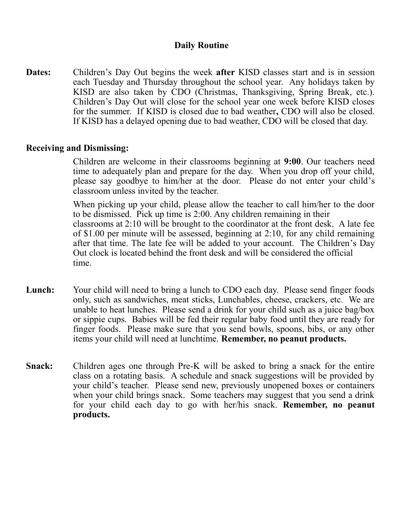#### **Daily Routine**

**Dates:** Children's Day Out begins the week **after** KISD classes start and is in session each Tuesday and Thursday throughout the school year. Any holidays taken by KISD are also taken by CDO (Christmas, Thanksgiving, Spring Break, etc.). Children's Day Out will close for the school year one week before KISD closes for the summer. If KISD is closed due to bad weather**,** CDO will also be closed. If KISD has a delayed opening due to bad weather, CDO will be closed that day.

#### **Receiving and Dismissing:**

Children are welcome in their classrooms beginning at **9:00**. Our teachers need time to adequately plan and prepare for the day. When you drop off your child, please say goodbye to him/her at the door. Please do not enter your child's classroom unless invited by the teacher.

When picking up your child, please allow the teacher to call him/her to the door to be dismissed. Pick up time is 2:00. Any children remaining in their classrooms at 2:10 will be brought to the coordinator at the front desk. A late fee of \$1.00 per minute will be assessed, beginning at 2:10, for any child remaining after that time. The late fee will be added to your account. The Children's Day Out clock is located behind the front desk and will be considered the official time.

- **Lunch:** Your child will need to bring a lunch to CDO each day. Please send finger foods only, such as sandwiches, meat sticks, Lunchables, cheese, crackers, etc. We are unable to heat lunches. Please send a drink for your child such as a juice bag/box or sippie cups. Babies will be fed their regular baby food until they are ready for finger foods. Please make sure that you send bowls, spoons, bibs, or any other items your child will need at lunchtime. **Remember, no peanut products.**
- **Snack:** Children ages one through Pre-K will be asked to bring a snack for the entire class on a rotating basis. A schedule and snack suggestions will be provided by your child's teacher. Please send new, previously unopened boxes or containers when your child brings snack. Some teachers may suggest that you send a drink for your child each day to go with her/his snack. **Remember, no peanut products.**